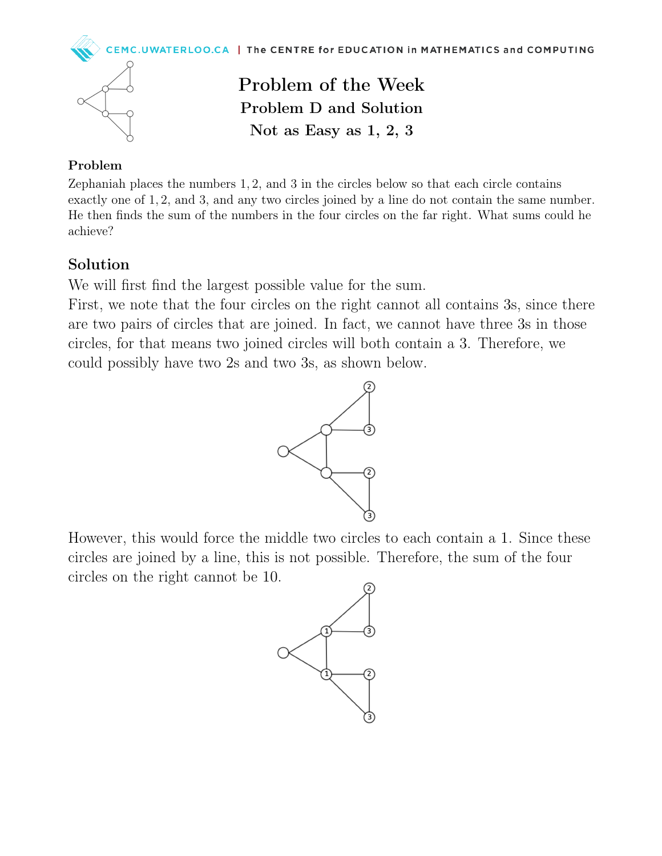



Problem of the Week Problem D and Solution Not as Easy as 1, 2, 3

## Problem

Zephaniah places the numbers 1, 2, and 3 in the circles below so that each circle contains exactly one of 1, 2, and 3, and any two circles joined by a line do not contain the same number. He then finds the sum of the numbers in the four circles on the far right. What sums could he achieve?

## Solution

We will first find the largest possible value for the sum.

First, we note that the four circles on the right cannot all contains 3s, since there are two pairs of circles that are joined. In fact, we cannot have three 3s in those circles, for that means two joined circles will both contain a 3. Therefore, we could possibly have two 2s and two 3s, as shown below.



However, this would force the middle two circles to each contain a 1. Since these circles are joined by a line, this is not possible. Therefore, the sum of the four circles on the right cannot be 10.